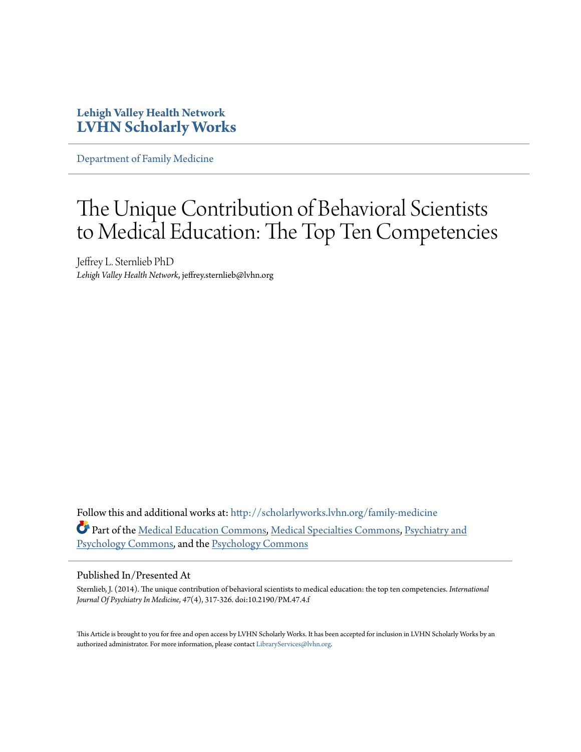# **Lehigh Valley Health Network [LVHN Scholarly Works](http://scholarlyworks.lvhn.org?utm_source=scholarlyworks.lvhn.org%2Ffamily-medicine%2F159&utm_medium=PDF&utm_campaign=PDFCoverPages)**

[Department of Family Medicine](http://scholarlyworks.lvhn.org/family-medicine?utm_source=scholarlyworks.lvhn.org%2Ffamily-medicine%2F159&utm_medium=PDF&utm_campaign=PDFCoverPages)

# The Unique Contribution of Behavioral Scientists to Medical Education: The Top Ten Competencies

Jeffrey L. Sternlieb PhD *Lehigh Valley Health Network*, jeffrey.sternlieb@lvhn.org

Follow this and additional works at: [http://scholarlyworks.lvhn.org/family-medicine](http://scholarlyworks.lvhn.org/family-medicine?utm_source=scholarlyworks.lvhn.org%2Ffamily-medicine%2F159&utm_medium=PDF&utm_campaign=PDFCoverPages) Part of the [Medical Education Commons,](http://network.bepress.com/hgg/discipline/1125?utm_source=scholarlyworks.lvhn.org%2Ffamily-medicine%2F159&utm_medium=PDF&utm_campaign=PDFCoverPages) [Medical Specialties Commons,](http://network.bepress.com/hgg/discipline/680?utm_source=scholarlyworks.lvhn.org%2Ffamily-medicine%2F159&utm_medium=PDF&utm_campaign=PDFCoverPages) [Psychiatry and](http://network.bepress.com/hgg/discipline/908?utm_source=scholarlyworks.lvhn.org%2Ffamily-medicine%2F159&utm_medium=PDF&utm_campaign=PDFCoverPages) [Psychology Commons,](http://network.bepress.com/hgg/discipline/908?utm_source=scholarlyworks.lvhn.org%2Ffamily-medicine%2F159&utm_medium=PDF&utm_campaign=PDFCoverPages) and the [Psychology Commons](http://network.bepress.com/hgg/discipline/404?utm_source=scholarlyworks.lvhn.org%2Ffamily-medicine%2F159&utm_medium=PDF&utm_campaign=PDFCoverPages)

# Published In/Presented At

Sternlieb, J. (2014). The unique contribution of behavioral scientists to medical education: the top ten competencies. *International Journal Of Psychiatry In Medicine*, *47*(4), 317-326. doi:10.2190/PM.47.4.f

This Article is brought to you for free and open access by LVHN Scholarly Works. It has been accepted for inclusion in LVHN Scholarly Works by an authorized administrator. For more information, please contact [LibraryServices@lvhn.org.](mailto:LibraryServices@lvhn.org)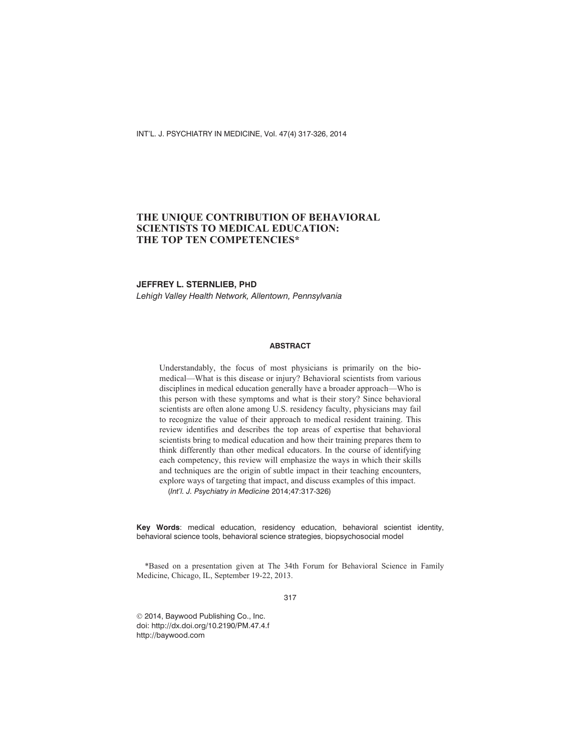INT'L. J. PSYCHIATRY IN MEDICINE, Vol. 47(4) 317-326, 2014

# **THE UNIQUE CONTRIBUTION OF BEHAVIORAL SCIENTISTS TO MEDICAL EDUCATION: THE TOP TEN COMPETENCIES\***

#### **JEFFREY L. STERNLIEB, PHD**

*Lehigh Valley Health Network, Allentown, Pennsylvania*

#### **ABSTRACT**

Understandably, the focus of most physicians is primarily on the biomedical—What is this disease or injury? Behavioral scientists from various disciplines in medical education generally have a broader approach—Who is this person with these symptoms and what is their story? Since behavioral scientists are often alone among U.S. residency faculty, physicians may fail to recognize the value of their approach to medical resident training. This review identifies and describes the top areas of expertise that behavioral scientists bring to medical education and how their training prepares them to think differently than other medical educators. In the course of identifying each competency, this review will emphasize the ways in which their skills and techniques are the origin of subtle impact in their teaching encounters, explore ways of targeting that impact, and discuss examples of this impact. (*Int'l. J. Psychiatry in Medicine* 2014;47:317-326)

**Key Words**: medical education, residency education, behavioral scientist identity, behavioral science tools, behavioral science strategies, biopsychosocial model

\*Based on a presentation given at The 34th Forum for Behavioral Science in Family Medicine, Chicago, IL, September 19-22, 2013.

317

 $©$  2014, Baywood Publishing Co., Inc. doi: http://dx.doi.org/10.2190/PM.47.4.f http://baywood.com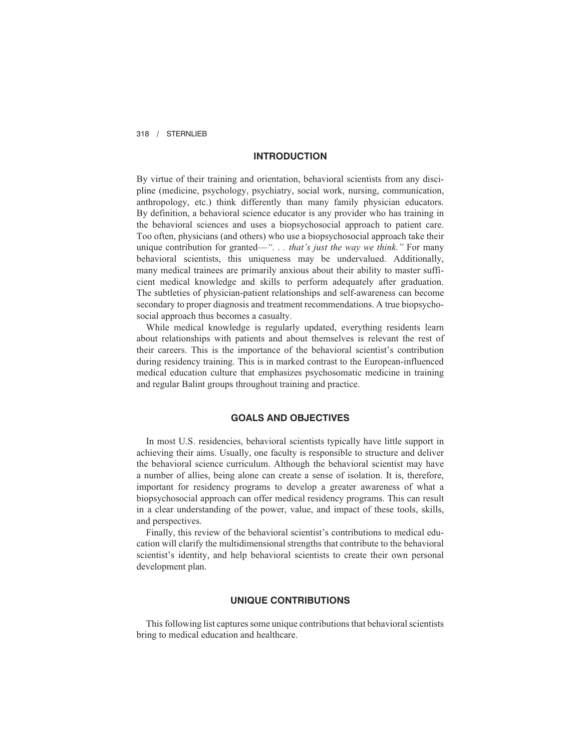# **INTRODUCTION**

By virtue of their training and orientation, behavioral scientists from any discipline (medicine, psychology, psychiatry, social work, nursing, communication, anthropology, etc.) think differently than many family physician educators. By definition, a behavioral science educator is any provider who has training in the behavioral sciences and uses a biopsychosocial approach to patient care. Too often, physicians (and others) who use a biopsychosocial approach take their unique contribution for granted—*". . . that's just the way we think."* For many behavioral scientists, this uniqueness may be undervalued. Additionally, many medical trainees are primarily anxious about their ability to master sufficient medical knowledge and skills to perform adequately after graduation. The subtleties of physician-patient relationships and self-awareness can become secondary to proper diagnosis and treatment recommendations. A true biopsychosocial approach thus becomes a casualty.

While medical knowledge is regularly updated, everything residents learn about relationships with patients and about themselves is relevant the rest of their careers. This is the importance of the behavioral scientist's contribution during residency training. This is in marked contrast to the European-influenced medical education culture that emphasizes psychosomatic medicine in training and regular Balint groups throughout training and practice.

# **GOALS AND OBJECTIVES**

In most U.S. residencies, behavioral scientists typically have little support in achieving their aims. Usually, one faculty is responsible to structure and deliver the behavioral science curriculum. Although the behavioral scientist may have a number of allies, being alone can create a sense of isolation. It is, therefore, important for residency programs to develop a greater awareness of what a biopsychosocial approach can offer medical residency programs. This can result in a clear understanding of the power, value, and impact of these tools, skills, and perspectives.

Finally, this review of the behavioral scientist's contributions to medical education will clarify the multidimensional strengths that contribute to the behavioral scientist's identity, and help behavioral scientists to create their own personal development plan.

# **UNIQUE CONTRIBUTIONS**

This following list captures some unique contributions that behavioral scientists bring to medical education and healthcare.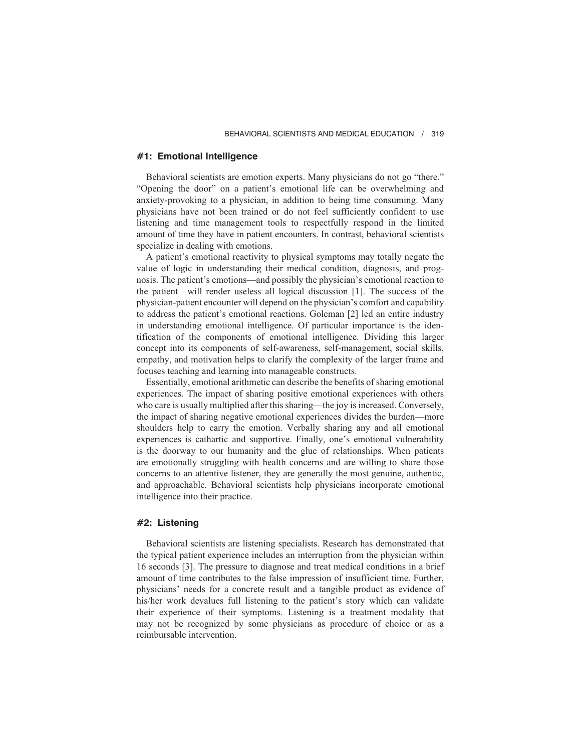# **#1: Emotional Intelligence**

Behavioral scientists are emotion experts. Many physicians do not go "there." "Opening the door" on a patient's emotional life can be overwhelming and anxiety-provoking to a physician, in addition to being time consuming. Many physicians have not been trained or do not feel sufficiently confident to use listening and time management tools to respectfully respond in the limited amount of time they have in patient encounters. In contrast, behavioral scientists specialize in dealing with emotions.

A patient's emotional reactivity to physical symptoms may totally negate the value of logic in understanding their medical condition, diagnosis, and prognosis. The patient's emotions—and possibly the physician's emotional reaction to the patient—will render useless all logical discussion [1]. The success of the physician-patient encounter will depend on the physician's comfort and capability to address the patient's emotional reactions. Goleman [2] led an entire industry in understanding emotional intelligence. Of particular importance is the identification of the components of emotional intelligence. Dividing this larger concept into its components of self-awareness, self-management, social skills, empathy, and motivation helps to clarify the complexity of the larger frame and focuses teaching and learning into manageable constructs.

Essentially, emotional arithmetic can describe the benefits of sharing emotional experiences. The impact of sharing positive emotional experiences with others who care is usually multiplied after this sharing—the joy is increased. Conversely, the impact of sharing negative emotional experiences divides the burden—more shoulders help to carry the emotion. Verbally sharing any and all emotional experiences is cathartic and supportive. Finally, one's emotional vulnerability is the doorway to our humanity and the glue of relationships. When patients are emotionally struggling with health concerns and are willing to share those concerns to an attentive listener, they are generally the most genuine, authentic, and approachable. Behavioral scientists help physicians incorporate emotional intelligence into their practice.

#### **#2: Listening**

Behavioral scientists are listening specialists. Research has demonstrated that the typical patient experience includes an interruption from the physician within 16 seconds [3]. The pressure to diagnose and treat medical conditions in a brief amount of time contributes to the false impression of insufficient time. Further, physicians' needs for a concrete result and a tangible product as evidence of his/her work devalues full listening to the patient's story which can validate their experience of their symptoms. Listening is a treatment modality that may not be recognized by some physicians as procedure of choice or as a reimbursable intervention.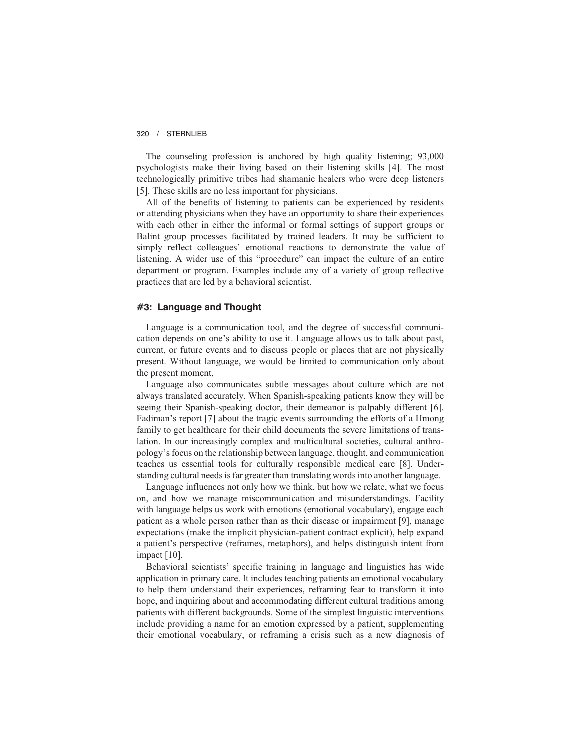The counseling profession is anchored by high quality listening; 93,000 psychologists make their living based on their listening skills [4]. The most technologically primitive tribes had shamanic healers who were deep listeners [5]. These skills are no less important for physicians.

All of the benefits of listening to patients can be experienced by residents or attending physicians when they have an opportunity to share their experiences with each other in either the informal or formal settings of support groups or Balint group processes facilitated by trained leaders. It may be sufficient to simply reflect colleagues' emotional reactions to demonstrate the value of listening. A wider use of this "procedure" can impact the culture of an entire department or program. Examples include any of a variety of group reflective practices that are led by a behavioral scientist.

#### **#3: Language and Thought**

Language is a communication tool, and the degree of successful communication depends on one's ability to use it. Language allows us to talk about past, current, or future events and to discuss people or places that are not physically present. Without language, we would be limited to communication only about the present moment.

Language also communicates subtle messages about culture which are not always translated accurately. When Spanish-speaking patients know they will be seeing their Spanish-speaking doctor, their demeanor is palpably different [6]. Fadiman's report [7] about the tragic events surrounding the efforts of a Hmong family to get healthcare for their child documents the severe limitations of translation. In our increasingly complex and multicultural societies, cultural anthropology's focus on the relationship between language, thought, and communication teaches us essential tools for culturally responsible medical care [8]. Understanding cultural needs is far greater than translating words into another language.

Language influences not only how we think, but how we relate, what we focus on, and how we manage miscommunication and misunderstandings. Facility with language helps us work with emotions (emotional vocabulary), engage each patient as a whole person rather than as their disease or impairment [9], manage expectations (make the implicit physician-patient contract explicit), help expand a patient's perspective (reframes, metaphors), and helps distinguish intent from impact [10].

Behavioral scientists' specific training in language and linguistics has wide application in primary care. It includes teaching patients an emotional vocabulary to help them understand their experiences, reframing fear to transform it into hope, and inquiring about and accommodating different cultural traditions among patients with different backgrounds. Some of the simplest linguistic interventions include providing a name for an emotion expressed by a patient, supplementing their emotional vocabulary, or reframing a crisis such as a new diagnosis of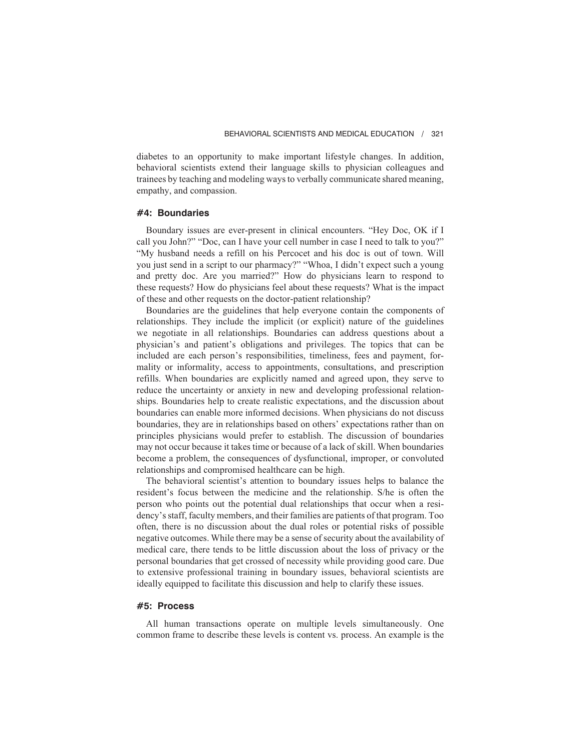diabetes to an opportunity to make important lifestyle changes. In addition, behavioral scientists extend their language skills to physician colleagues and trainees by teaching and modeling ways to verbally communicate shared meaning, empathy, and compassion.

#### **#4: Boundaries**

Boundary issues are ever-present in clinical encounters. "Hey Doc, OK if I call you John?" "Doc, can I have your cell number in case I need to talk to you?" "My husband needs a refill on his Percocet and his doc is out of town. Will you just send in a script to our pharmacy?" "Whoa, I didn't expect such a young and pretty doc. Are you married?" How do physicians learn to respond to these requests? How do physicians feel about these requests? What is the impact of these and other requests on the doctor-patient relationship?

Boundaries are the guidelines that help everyone contain the components of relationships. They include the implicit (or explicit) nature of the guidelines we negotiate in all relationships. Boundaries can address questions about a physician's and patient's obligations and privileges. The topics that can be included are each person's responsibilities, timeliness, fees and payment, formality or informality, access to appointments, consultations, and prescription refills. When boundaries are explicitly named and agreed upon, they serve to reduce the uncertainty or anxiety in new and developing professional relationships. Boundaries help to create realistic expectations, and the discussion about boundaries can enable more informed decisions. When physicians do not discuss boundaries, they are in relationships based on others' expectations rather than on principles physicians would prefer to establish. The discussion of boundaries may not occur because it takes time or because of a lack of skill. When boundaries become a problem, the consequences of dysfunctional, improper, or convoluted relationships and compromised healthcare can be high.

The behavioral scientist's attention to boundary issues helps to balance the resident's focus between the medicine and the relationship. S/he is often the person who points out the potential dual relationships that occur when a residency's staff, faculty members, and their families are patients of that program. Too often, there is no discussion about the dual roles or potential risks of possible negative outcomes. While there may be a sense of security about the availability of medical care, there tends to be little discussion about the loss of privacy or the personal boundaries that get crossed of necessity while providing good care. Due to extensive professional training in boundary issues, behavioral scientists are ideally equipped to facilitate this discussion and help to clarify these issues.

#### **#5: Process**

All human transactions operate on multiple levels simultaneously. One common frame to describe these levels is content vs. process. An example is the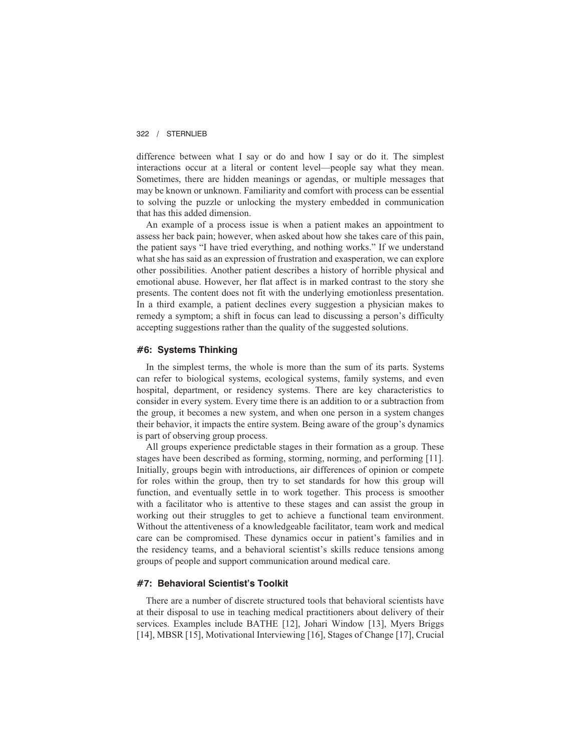difference between what I say or do and how I say or do it. The simplest interactions occur at a literal or content level—people say what they mean. Sometimes, there are hidden meanings or agendas, or multiple messages that may be known or unknown. Familiarity and comfort with process can be essential to solving the puzzle or unlocking the mystery embedded in communication that has this added dimension.

An example of a process issue is when a patient makes an appointment to assess her back pain; however, when asked about how she takes care of this pain, the patient says "I have tried everything, and nothing works." If we understand what she has said as an expression of frustration and exasperation, we can explore other possibilities. Another patient describes a history of horrible physical and emotional abuse. However, her flat affect is in marked contrast to the story she presents. The content does not fit with the underlying emotionless presentation. In a third example, a patient declines every suggestion a physician makes to remedy a symptom; a shift in focus can lead to discussing a person's difficulty accepting suggestions rather than the quality of the suggested solutions.

#### **#6: Systems Thinking**

In the simplest terms, the whole is more than the sum of its parts. Systems can refer to biological systems, ecological systems, family systems, and even hospital, department, or residency systems. There are key characteristics to consider in every system. Every time there is an addition to or a subtraction from the group, it becomes a new system, and when one person in a system changes their behavior, it impacts the entire system. Being aware of the group's dynamics is part of observing group process.

All groups experience predictable stages in their formation as a group. These stages have been described as forming, storming, norming, and performing [11]. Initially, groups begin with introductions, air differences of opinion or compete for roles within the group, then try to set standards for how this group will function, and eventually settle in to work together. This process is smoother with a facilitator who is attentive to these stages and can assist the group in working out their struggles to get to achieve a functional team environment. Without the attentiveness of a knowledgeable facilitator, team work and medical care can be compromised. These dynamics occur in patient's families and in the residency teams, and a behavioral scientist's skills reduce tensions among groups of people and support communication around medical care.

#### **#7: Behavioral Scientist's Toolkit**

There are a number of discrete structured tools that behavioral scientists have at their disposal to use in teaching medical practitioners about delivery of their services. Examples include BATHE [12], Johari Window [13], Myers Briggs [14], MBSR [15], Motivational Interviewing [16], Stages of Change [17], Crucial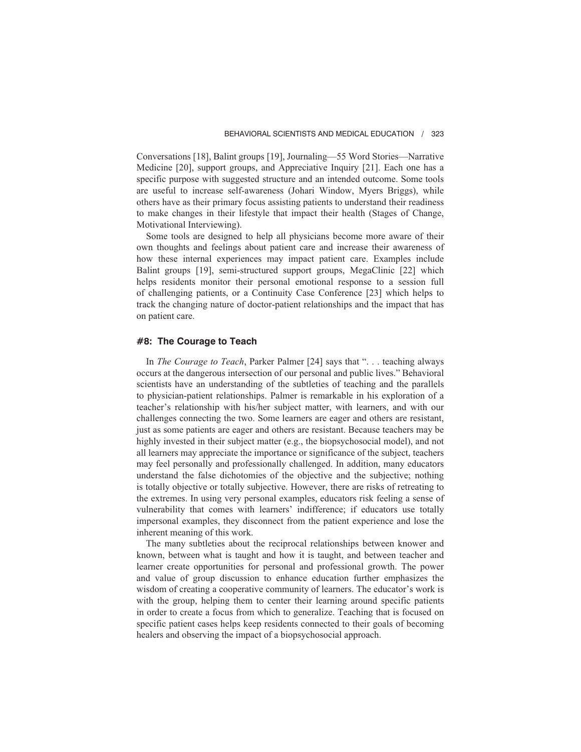Conversations [18], Balint groups [19], Journaling—55 Word Stories—Narrative Medicine [20], support groups, and Appreciative Inquiry [21]. Each one has a specific purpose with suggested structure and an intended outcome. Some tools are useful to increase self-awareness (Johari Window, Myers Briggs), while others have as their primary focus assisting patients to understand their readiness to make changes in their lifestyle that impact their health (Stages of Change, Motivational Interviewing).

Some tools are designed to help all physicians become more aware of their own thoughts and feelings about patient care and increase their awareness of how these internal experiences may impact patient care. Examples include Balint groups [19], semi-structured support groups, MegaClinic [22] which helps residents monitor their personal emotional response to a session full of challenging patients, or a Continuity Case Conference [23] which helps to track the changing nature of doctor-patient relationships and the impact that has on patient care.

#### **#8: The Courage to Teach**

In *The Courage to Teach*, Parker Palmer [24] says that ". . . teaching always occurs at the dangerous intersection of our personal and public lives." Behavioral scientists have an understanding of the subtleties of teaching and the parallels to physician-patient relationships. Palmer is remarkable in his exploration of a teacher's relationship with his/her subject matter, with learners, and with our challenges connecting the two. Some learners are eager and others are resistant, just as some patients are eager and others are resistant. Because teachers may be highly invested in their subject matter (e.g., the biopsychosocial model), and not all learners may appreciate the importance or significance of the subject, teachers may feel personally and professionally challenged. In addition, many educators understand the false dichotomies of the objective and the subjective; nothing is totally objective or totally subjective. However, there are risks of retreating to the extremes. In using very personal examples, educators risk feeling a sense of vulnerability that comes with learners' indifference; if educators use totally impersonal examples, they disconnect from the patient experience and lose the inherent meaning of this work.

The many subtleties about the reciprocal relationships between knower and known, between what is taught and how it is taught, and between teacher and learner create opportunities for personal and professional growth. The power and value of group discussion to enhance education further emphasizes the wisdom of creating a cooperative community of learners. The educator's work is with the group, helping them to center their learning around specific patients in order to create a focus from which to generalize. Teaching that is focused on specific patient cases helps keep residents connected to their goals of becoming healers and observing the impact of a biopsychosocial approach.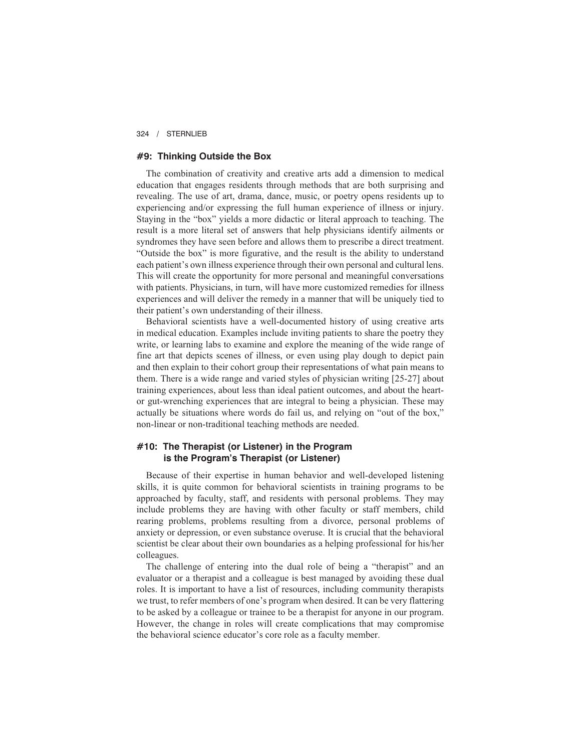# **#9: Thinking Outside the Box**

The combination of creativity and creative arts add a dimension to medical education that engages residents through methods that are both surprising and revealing. The use of art, drama, dance, music, or poetry opens residents up to experiencing and/or expressing the full human experience of illness or injury. Staying in the "box" yields a more didactic or literal approach to teaching. The result is a more literal set of answers that help physicians identify ailments or syndromes they have seen before and allows them to prescribe a direct treatment. "Outside the box" is more figurative, and the result is the ability to understand each patient's own illness experience through their own personal and cultural lens. This will create the opportunity for more personal and meaningful conversations with patients. Physicians, in turn, will have more customized remedies for illness experiences and will deliver the remedy in a manner that will be uniquely tied to their patient's own understanding of their illness.

Behavioral scientists have a well-documented history of using creative arts in medical education. Examples include inviting patients to share the poetry they write, or learning labs to examine and explore the meaning of the wide range of fine art that depicts scenes of illness, or even using play dough to depict pain and then explain to their cohort group their representations of what pain means to them. There is a wide range and varied styles of physician writing [25-27] about training experiences, about less than ideal patient outcomes, and about the heartor gut-wrenching experiences that are integral to being a physician. These may actually be situations where words do fail us, and relying on "out of the box," non-linear or non-traditional teaching methods are needed.

# **#10: The Therapist (or Listener) in the Program is the Program's Therapist (or Listener)**

Because of their expertise in human behavior and well-developed listening skills, it is quite common for behavioral scientists in training programs to be approached by faculty, staff, and residents with personal problems. They may include problems they are having with other faculty or staff members, child rearing problems, problems resulting from a divorce, personal problems of anxiety or depression, or even substance overuse. It is crucial that the behavioral scientist be clear about their own boundaries as a helping professional for his/her colleagues.

The challenge of entering into the dual role of being a "therapist" and an evaluator or a therapist and a colleague is best managed by avoiding these dual roles. It is important to have a list of resources, including community therapists we trust, to refer members of one's program when desired. It can be very flattering to be asked by a colleague or trainee to be a therapist for anyone in our program. However, the change in roles will create complications that may compromise the behavioral science educator's core role as a faculty member.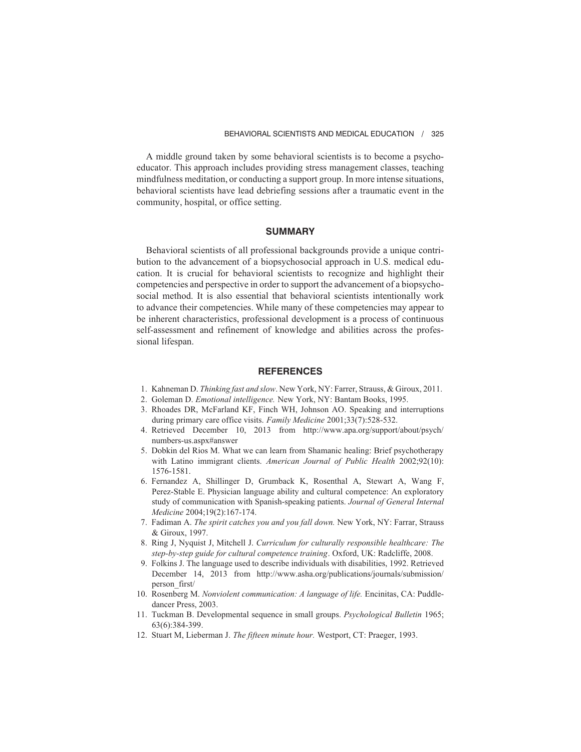A middle ground taken by some behavioral scientists is to become a psychoeducator. This approach includes providing stress management classes, teaching mindfulness meditation, or conducting a support group. In more intense situations, behavioral scientists have lead debriefing sessions after a traumatic event in the community, hospital, or office setting.

### **SUMMARY**

Behavioral scientists of all professional backgrounds provide a unique contribution to the advancement of a biopsychosocial approach in U.S. medical education. It is crucial for behavioral scientists to recognize and highlight their competencies and perspective in order to support the advancement of a biopsychosocial method. It is also essential that behavioral scientists intentionally work to advance their competencies. While many of these competencies may appear to be inherent characteristics, professional development is a process of continuous self-assessment and refinement of knowledge and abilities across the professional lifespan.

# **REFERENCES**

- 1. Kahneman D. *Thinking fast and slow*. New York, NY: Farrer, Strauss, & Giroux, 2011.
- 2. Goleman D. *Emotional intelligence.* New York, NY: Bantam Books, 1995.
- 3. Rhoades DR, McFarland KF, Finch WH, Johnson AO. Speaking and interruptions during primary care office visits. *Family Medicine* 2001;33(7):528-532.
- 4. Retrieved December 10, 2013 from http://www.apa.org/support/about/psych/ numbers-us.aspx#answer
- 5. Dobkin del Rios M. What we can learn from Shamanic healing: Brief psychotherapy with Latino immigrant clients. *American Journal of Public Health* 2002;92(10): 1576-1581.
- 6. Fernandez A, Shillinger D, Grumback K, Rosenthal A, Stewart A, Wang F, Perez-Stable E. Physician language ability and cultural competence: An exploratory study of communication with Spanish-speaking patients. *Journal of General Internal Medicine* 2004;19(2):167-174.
- 7. Fadiman A. *The spirit catches you and you fall down.* New York, NY: Farrar, Strauss & Giroux, 1997.
- 8. Ring J, Nyquist J, Mitchell J. *Curriculum for culturally responsible healthcare: The step-by-step guide for cultural competence training*. Oxford, UK: Radcliffe, 2008.
- 9. Folkins J. The language used to describe individuals with disabilities, 1992. Retrieved December 14, 2013 from http://www.asha.org/publications/journals/submission/ person\_first/
- 10. Rosenberg M. *Nonviolent communication: A language of life.* Encinitas, CA: Puddledancer Press, 2003.
- 11. Tuckman B. Developmental sequence in small groups. *Psychological Bulletin* 1965; 63(6):384-399.
- 12. Stuart M, Lieberman J. *The fifteen minute hour.* Westport, CT: Praeger, 1993.